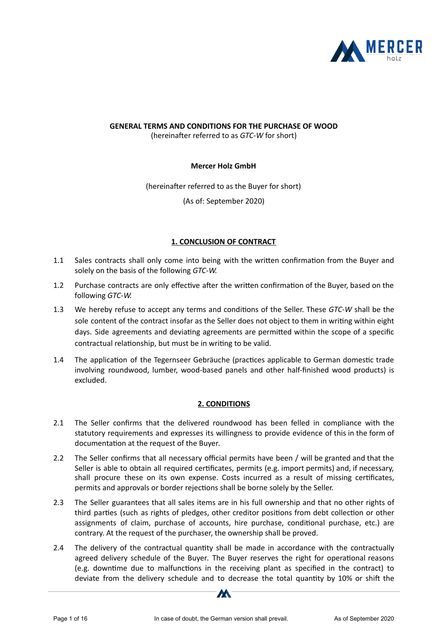

# **GENERAL TERMS AND CONDITIONS FOR THE PURCHASE OF WOOD**

(hereinafter referred to as *GTC-W* for short)

### **Mercer Holz GmbH**

(hereinafter referred to as the Buyer for short) (As of: September 2020)

## **1. CONCLUSION OF CONTRACT**

- 1.1 Sales contracts shall only come into being with the written confirmation from the Buyer and solely on the basis of the following *GTC-W.*
- 1.2 Purchase contracts are only effective after the written confirmation of the Buyer, based on the following *GTC-W.*
- 1.3 We hereby refuse to accept any terms and conditions of the Seller. These *GTC-W* shall be the sole content of the contract insofar as the Seller does not object to them in writing within eight days. Side agreements and deviating agreements are permitted within the scope of a specific contractual relationship, but must be in writing to be valid.
- 1.4 The application of the Tegernseer Gebräuche (practices applicable to German domestic trade involving roundwood, lumber, wood-based panels and other half-finished wood products) is excluded.

## **2. CONDITIONS**

- 2.1 The Seller confirms that the delivered roundwood has been felled in compliance with the statutory requirements and expresses its willingness to provide evidence of this in the form of documentation at the request of the Buyer.
- 2.2 The Seller confirms that all necessary official permits have been / will be granted and that the Seller is able to obtain all required certificates, permits (e.g. import permits) and, if necessary, shall procure these on its own expense. Costs incurred as a result of missing cerficates, permits and approvals or border rejections shall be borne solely by the Seller.
- 2.3 The Seller guarantees that all sales items are in his full ownership and that no other rights of third parties (such as rights of pledges, other creditor positions from debt collection or other assignments of claim, purchase of accounts, hire purchase, conditional purchase, etc.) are contrary. At the request of the purchaser, the ownership shall be proved.
- 2.4 The delivery of the contractual quantity shall be made in accordance with the contractually agreed delivery schedule of the Buyer. The Buyer reserves the right for operational reasons (e.g. downtime due to malfunctions in the receiving plant as specified in the contract) to deviate from the delivery schedule and to decrease the total quantity by 10% or shift the

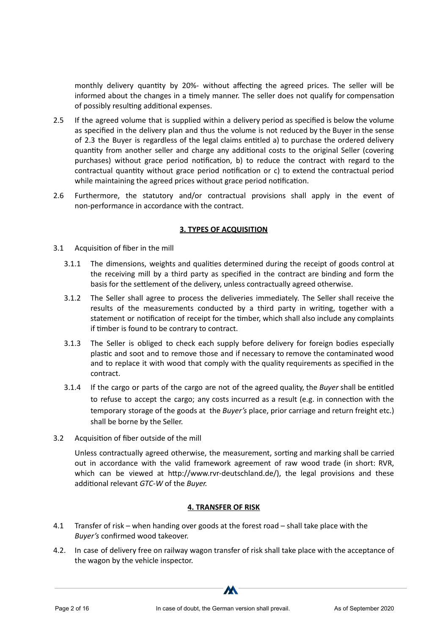monthly delivery quantity by 20%- without affecting the agreed prices. The seller will be informed about the changes in a timely manner. The seller does not qualify for compensation of possibly resulting additional expenses.

- 2.5 If the agreed volume that is supplied within a delivery period as specified is below the volume as specified in the delivery plan and thus the volume is not reduced by the Buyer in the sense of 2.3 the Buyer is regardless of the legal claims entitled a) to purchase the ordered delivery quantity from another seller and charge any additional costs to the original Seller (covering purchases) without grace period notification, b) to reduce the contract with regard to the contractual quantity without grace period notification or  $c$ ) to extend the contractual period while maintaining the agreed prices without grace period notification.
- 2.6 Furthermore, the statutory and/or contractual provisions shall apply in the event of non-performance in accordance with the contract.

### **3. TYPES OF ACQUISITION**

- 3.1 Acquisition of fiber in the mill
	- 3.1.1 The dimensions, weights and qualities determined during the receipt of goods control at the receiving mill by a third party as specified in the contract are binding and form the basis for the settlement of the delivery, unless contractually agreed otherwise.
	- 3.1.2 The Seller shall agree to process the deliveries immediately. The Seller shall receive the results of the measurements conducted by a third party in writing, together with a statement or notification of receipt for the timber, which shall also include any complaints if timber is found to be contrary to contract.
	- 3.1.3 The Seller is obliged to check each supply before delivery for foreign bodies especially plastic and soot and to remove those and if necessary to remove the contaminated wood and to replace it with wood that comply with the quality requirements as specified in the contract.
	- 3.1.4 If the cargo or parts of the cargo are not of the agreed quality, the *Buyer* shall be entitled to refuse to accept the cargo; any costs incurred as a result (e.g. in connection with the temporary storage of the goods at the *Buyer's* place, prior carriage and return freight etc.) shall be borne by the Seller.
- 3.2 Acquisition of fiber outside of the mill

Unless contractually agreed otherwise, the measurement, sorting and marking shall be carried out in accordance with the valid framework agreement of raw wood trade (in short: RVR, which can be viewed at http://www.rvr-deutschland.de/), the legal provisions and these additional relevant *GTC-W* of the *Buyer*.

### **4. TRANSFER OF RISK**

- 4.1 Transfer of risk when handing over goods at the forest road shall take place with the *Buyer's* confirmed wood takeover.
- 4.2. In case of delivery free on railway wagon transfer of risk shall take place with the acceptance of the wagon by the vehicle inspector.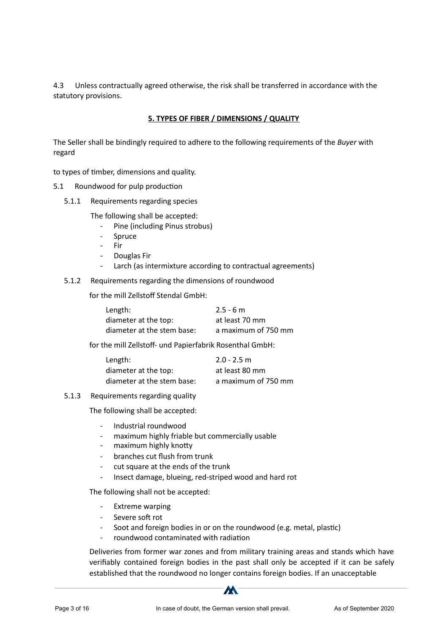4.3 Unless contractually agreed otherwise, the risk shall be transferred in accordance with the statutory provisions.

### **5. TYPES OF FIBER / DIMENSIONS / QUALITY**

The Seller shall be bindingly required to adhere to the following requirements of the *Buyer* with regard

to types of timber, dimensions and quality.

- 5.1 Roundwood for pulp production
	- 5.1.1 Requirements regarding species

The following shall be accepted:

- Pine (including Pinus strobus)
- **Spruce**
- Fir
- Douglas Fir
- Larch (as intermixture according to contractual agreements)
- 5.1.2 Requirements regarding the dimensions of roundwood

for the mill Zellstoff Stendal GmbH:

| Length:                    | $2.5 - 6$ m         |
|----------------------------|---------------------|
| diameter at the top:       | at least 70 mm      |
| diameter at the stem base: | a maximum of 750 mm |

for the mill Zellstoff- und Papierfabrik Rosenthal GmbH:

| Length:                    | $2.0 - 2.5$ m       |
|----------------------------|---------------------|
| diameter at the top:       | at least 80 mm      |
| diameter at the stem base: | a maximum of 750 mm |

#### 5.1.3 Requirements regarding quality

The following shall be accepted:

- Industrial roundwood
- maximum highly friable but commercially usable
- maximum highly knotty
- branches cut flush from trunk
- cut square at the ends of the trunk
- Insect damage, blueing, red-striped wood and hard rot

The following shall not be accepted:

- Extreme warping
- Severe soft rot
- Soot and foreign bodies in or on the roundwood (e.g. metal, plastic)
- roundwood contaminated with radiation

Deliveries from former war zones and from military training areas and stands which have verifiably contained foreign bodies in the past shall only be accepted if it can be safely established that the roundwood no longer contains foreign bodies. If an unacceptable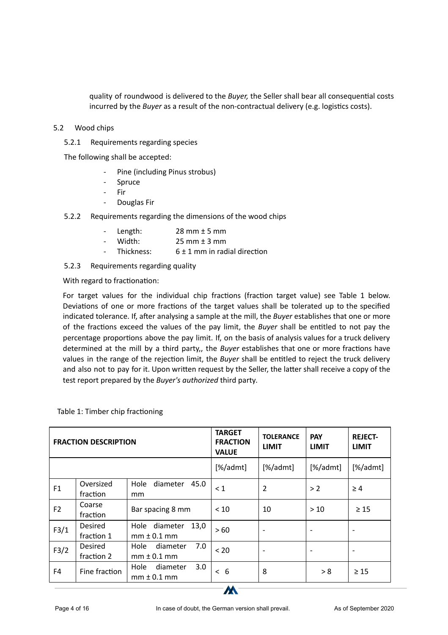quality of roundwood is delivered to the *Buyer*, the Seller shall bear all consequential costs incurred by the *Buyer* as a result of the non-contractual delivery (e.g. logistics costs).

### 5.2 Wood chips

5.2.1 Requirements regarding species

The following shall be accepted:

- Pine (including Pinus strobus)
- **Spruce**
- Fir
- Douglas Fir
- 5.2.2 Requirements regarding the dimensions of the wood chips

| - Length:    | $28$ mm $\pm$ 5 mm               |
|--------------|----------------------------------|
| - Width:     | $25 \text{ mm} \pm 3 \text{ mm}$ |
| - Thickness: | $6 \pm 1$ mm in radial direction |

5.2.3 Requirements regarding quality

With regard to fractionation:

For target values for the individual chip fractions (fraction target value) see Table 1 below. Deviations of one or more fractions of the target values shall be tolerated up to the specified indicated tolerance. If, after analysing a sample at the mill, the *Buyer* establishes that one or more of the fractions exceed the values of the pay limit, the *Buyer* shall be entitled to not pay the percentage proportions above the pay limit. If, on the basis of analysis values for a truck delivery determined at the mill by a third party,, the *Buyer* establishes that one or more fractions have values in the range of the rejection limit, the *Buyer* shall be entitled to reject the truck delivery and also not to pay for it. Upon written request by the Seller, the latter shall receive a copy of the test report prepared by the *Buyer's authorized* third party*.*

| <b>FRACTION DESCRIPTION</b> |                       | <b>TARGET</b><br><b>FRACTION</b><br><b>VALUE</b> | <b>TOLERANCE</b><br><b>LIMIT</b> | <b>PAY</b><br><b>LIMIT</b> | <b>REJECT-</b><br><b>LIMIT</b> |                              |
|-----------------------------|-----------------------|--------------------------------------------------|----------------------------------|----------------------------|--------------------------------|------------------------------|
|                             |                       |                                                  | [%/admt]                         | $[\%$ /admt]               | $[\%$ /admt]                   | [%/admt]                     |
| F1                          | Oversized<br>fraction | 45.0<br>diameter<br>Hole<br><sub>mm</sub>        | $\leq 1$                         | 2                          | >2                             | $\geq 4$                     |
| F <sub>2</sub>              | Coarse<br>fraction    | Bar spacing 8 mm                                 | < 10                             | 10                         | >10                            | $\geq 15$                    |
| F3/1                        | Desired<br>fraction 1 | 13,0<br>diameter<br>Hole<br>$mm \pm 0.1$ mm      | >60                              | $\overline{\phantom{a}}$   |                                | $\qquad \qquad \blacksquare$ |
| F3/2                        | Desired<br>fraction 2 | 7.0<br>Hole<br>diameter<br>$mm \pm 0.1$ mm       | < 20                             | $\overline{\phantom{0}}$   |                                | $\overline{\phantom{a}}$     |
| F4                          | Fine fraction         | 3.0<br>Hole<br>diameter<br>$mm \pm 0.1$ mm       | < 6                              | 8                          | > 8                            | $\geq 15$                    |

Table 1: Timber chip fractioning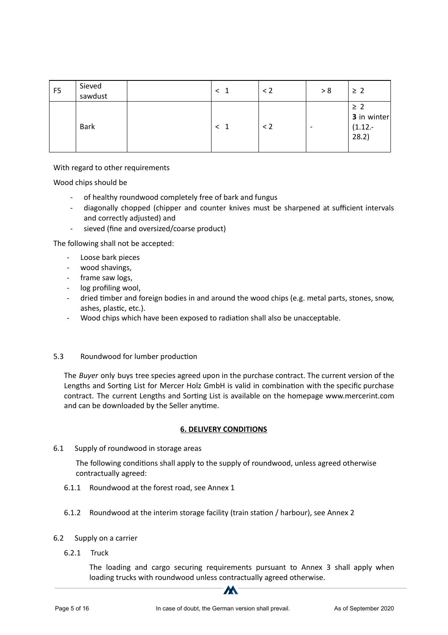| F <sub>5</sub> | Sieved<br>sawdust | $\overline{1}$ | $\leq$ 2 | > 8 | $\geq$ 2                                      |
|----------------|-------------------|----------------|----------|-----|-----------------------------------------------|
|                | <b>Bark</b>       | $\leq$ 1       | $\leq$ 2 | ۰   | $\geq$ 2<br>3 in winter<br>$(1.12 -$<br>28.2) |

With regard to other requirements

Wood chips should be

- of healthy roundwood completely free of bark and fungus
- diagonally chopped (chipper and counter knives must be sharpened at sufficient intervals and correctly adjusted) and
- sieved (fine and oversized/coarse product)

The following shall not be accepted:

- Loose bark pieces
- wood shavings,
- frame saw logs,
- log profiling wool,
- dried timber and foreign bodies in and around the wood chips (e.g. metal parts, stones, snow, ashes, plastic, etc.).
- Wood chips which have been exposed to radiation shall also be unacceptable.

### 5.3 Roundwood for lumber production

The *Buyer* only buys tree species agreed upon in the purchase contract. The current version of the Lengths and Sorting List for Mercer Holz GmbH is valid in combination with the specific purchase contract. The current Lengths and Sorting List is available on the homepage www.mercerint.com and can be downloaded by the Seller anytime.

### **6. DELIVERY CONDITIONS**

6.1 Supply of roundwood in storage areas

The following conditions shall apply to the supply of roundwood, unless agreed otherwise contractually agreed:

- 6.1.1 Roundwood at the forest road, see Annex 1
- 6.1.2 Roundwood at the interim storage facility (train station / harbour), see Annex 2

### 6.2 Supply on a carrier

6.2.1 Truck

The loading and cargo securing requirements pursuant to Annex 3 shall apply when loading trucks with roundwood unless contractually agreed otherwise.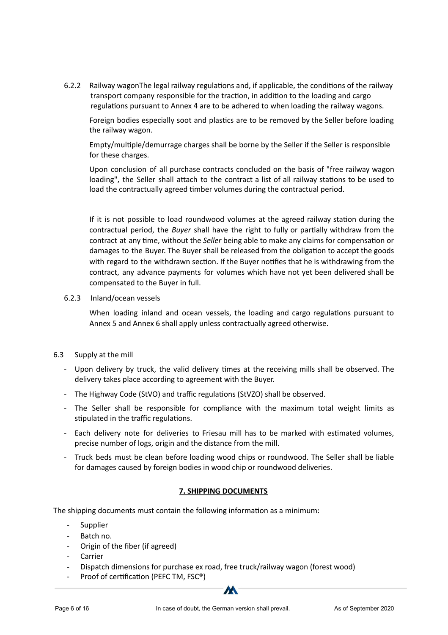6.2.2 Railway wagonThe legal railway regulations and, if applicable, the conditions of the railway transport company responsible for the traction, in addition to the loading and cargo regulations pursuant to Annex 4 are to be adhered to when loading the railway wagons.

Foreign bodies especially soot and plastics are to be removed by the Seller before loading the railway wagon.

Empty/multiple/demurrage charges shall be borne by the Seller if the Seller is responsible for these charges.

Upon conclusion of all purchase contracts concluded on the basis of "free railway wagon loading", the Seller shall attach to the contract a list of all railway stations to be used to load the contractually agreed timber volumes during the contractual period.

If it is not possible to load roundwood volumes at the agreed railway station during the contractual period, the *Buyer* shall have the right to fully or partially withdraw from the contract at any time, without the *Seller* being able to make any claims for compensation or damages to the Buyer. The Buyer shall be released from the obligation to accept the goods with regard to the withdrawn section. If the Buyer notifies that he is withdrawing from the contract, any advance payments for volumes which have not yet been delivered shall be compensated to the Buyer in full.

### 6.2.3 Inland/ocean vessels

When loading inland and ocean vessels, the loading and cargo regulations pursuant to Annex 5 and Annex 6 shall apply unless contractually agreed otherwise.

### 6.3 Supply at the mill

- Upon delivery by truck, the valid delivery times at the receiving mills shall be observed. The delivery takes place according to agreement with the Buyer.
- The Highway Code (StVO) and traffic regulations (StVZO) shall be observed.
- The Seller shall be responsible for compliance with the maximum total weight limits as stipulated in the traffic regulations.
- Each delivery note for deliveries to Friesau mill has to be marked with estimated volumes, precise number of logs, origin and the distance from the mill.
- Truck beds must be clean before loading wood chips or roundwood. The Seller shall be liable for damages caused by foreign bodies in wood chip or roundwood deliveries.

#### **7. SHIPPING DOCUMENTS**

The shipping documents must contain the following information as a minimum:

- **Supplier**
- Batch no.
- Origin of the fiber (if agreed)
- Carrier
- Dispatch dimensions for purchase ex road, free truck/railway wagon (forest wood)
- Proof of certification (PEFC TM, FSC®)

**M**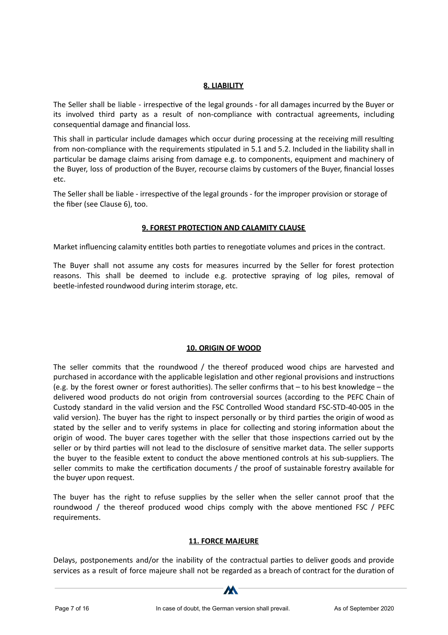### **8. LIABILITY**

The Seller shall be liable - irrespective of the legal grounds - for all damages incurred by the Buyer or its involved third party as a result of non-compliance with contractual agreements, including consequential damage and financial loss.

This shall in particular include damages which occur during processing at the receiving mill resulting from non-compliance with the requirements stipulated in 5.1 and 5.2. Included in the liability shall in particular be damage claims arising from damage e.g. to components, equipment and machinery of the Buyer, loss of production of the Buyer, recourse claims by customers of the Buyer, financial losses etc.

The Seller shall be liable - irrespective of the legal grounds - for the improper provision or storage of the fiber (see Clause 6), too.

### **9. FOREST PROTECTION AND CALAMITY CLAUSE**

Market influencing calamity entitles both parties to renegotiate volumes and prices in the contract.

The Buyer shall not assume any costs for measures incurred by the Seller for forest protection reasons. This shall be deemed to include e.g. protective spraying of log piles, removal of beetle-infested roundwood during interim storage, etc.

## **10. ORIGIN OF WOOD**

The seller commits that the roundwood / the thereof produced wood chips are harvested and purchased in accordance with the applicable legislation and other regional provisions and instructions (e.g. by the forest owner or forest authorities). The seller confirms that  $-$  to his best knowledge  $-$  the delivered wood products do not origin from controversial sources (according to the PEFC Chain of Custody standard in the valid version and the FSC Controlled Wood standard FSC-STD-40-005 in the valid version). The buyer has the right to inspect personally or by third parties the origin of wood as stated by the seller and to verify systems in place for collecting and storing information about the origin of wood. The buyer cares together with the seller that those inspections carried out by the seller or by third parties will not lead to the disclosure of sensitive market data. The seller supports the buyer to the feasible extent to conduct the above mentioned controls at his sub-suppliers. The seller commits to make the certification documents / the proof of sustainable forestry available for the buye*r* upon request.

The buyer has the right to refuse supplies by the seller when the seller cannot proof that the roundwood / the thereof produced wood chips comply with the above mentioned FSC / PEFC requirements.

### **11. FORCE MAJEURE**

Delays, postponements and/or the inability of the contractual parties to deliver goods and provide services as a result of force majeure shall not be regarded as a breach of contract for the duration of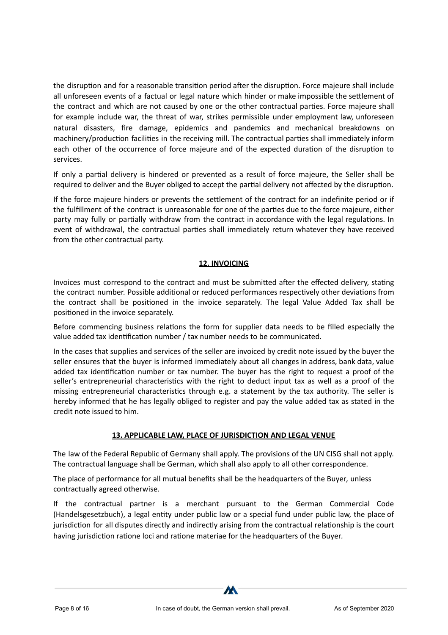the disruption and for a reasonable transition period after the disruption. Force majeure shall include all unforeseen events of a factual or legal nature which hinder or make impossible the settlement of the contract and which are not caused by one or the other contractual parties. Force majeure shall for example include war, the threat of war, strikes permissible under employment law, unforeseen natural disasters, fire damage, epidemics and pandemics and mechanical breakdowns on machinery/production facilities in the receiving mill. The contractual parties shall immediately inform each other of the occurrence of force majeure and of the expected duration of the disruption to services.

If only a partial delivery is hindered or prevented as a result of force majeure, the Seller shall be required to deliver and the Buyer obliged to accept the partial delivery not affected by the disruption.

If the force majeure hinders or prevents the settlement of the contract for an indefinite period or if the fulfillment of the contract is unreasonable for one of the parties due to the force majeure, either party may fully or partially withdraw from the contract in accordance with the legal regulations. In event of withdrawal, the contractual parties shall immediately return whatever they have received from the other contractual party.

## **12. INVOICING**

Invoices must correspond to the contract and must be submitted after the effected delivery, stating the contract number. Possible additional or reduced performances respectively other deviations from the contract shall be positioned in the invoice separately. The legal Value Added Tax shall be positioned in the invoice separately.

Before commencing business relations the form for supplier data needs to be filled especially the value added tax identification number / tax number needs to be communicated.

In the cases that supplies and services of the seller are invoiced by credit note issued by the buyer the seller ensures that the buyer is informed immediately about all changes in address, bank data, value added tax identification number or tax number. The buyer has the right to request a proof of the seller's entrepreneurial characteristics with the right to deduct input tax as well as a proof of the missing entrepreneurial characteristics through e.g. a statement by the tax authority. The seller is hereby informed that he has legally obliged to register and pay the value added tax as stated in the credit note issued to him.

### **13. APPLICABLE LAW, PLACE OF JURISDICTION AND LEGAL VENUE**

The law of the Federal Republic of Germany shall apply. The provisions of the UN CISG shall not apply. The contractual language shall be German, which shall also apply to all other correspondence.

The place of performance for all mutual benefits shall be the headquarters of the Buyer*,* unless contractually agreed otherwise.

If the contractual partner is a merchant pursuant to the German Commercial Code (Handelsgesetzbuch), a legal entity under public law or a special fund under public law, the place of jurisdiction for all disputes directly and indirectly arising from the contractual relationship is the court having jurisdiction ratione loci and ratione materiae for the headquarters of the Buyer.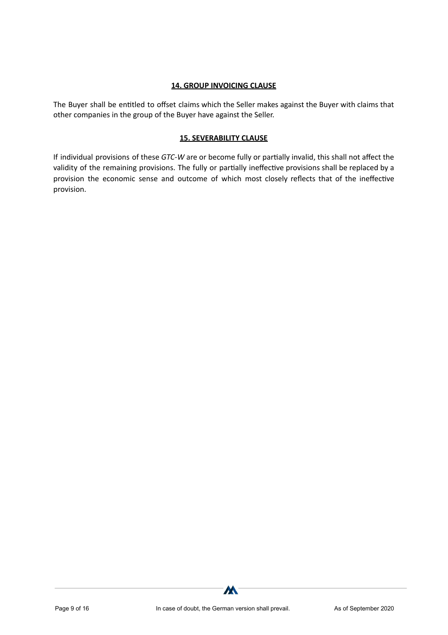### **14. GROUP INVOICING CLAUSE**

The Buyer shall be entitled to offset claims which the Seller makes against the Buyer with claims that other companies in the group of the Buyer have against the Seller.

### **15. SEVERABILITY CLAUSE**

If individual provisions of these *GTC-W* are or become fully or partially invalid, this shall not affect the validity of the remaining provisions. The fully or partially ineffective provisions shall be replaced by a provision the economic sense and outcome of which most closely reflects that of the ineffective provision.

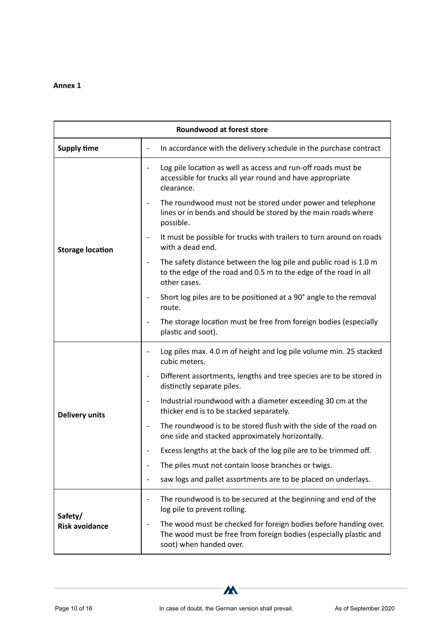| <b>Roundwood at forest store</b> |                                                                                                                                                                  |  |  |  |  |
|----------------------------------|------------------------------------------------------------------------------------------------------------------------------------------------------------------|--|--|--|--|
| <b>Supply time</b>               | In accordance with the delivery schedule in the purchase contract                                                                                                |  |  |  |  |
|                                  | Log pile location as well as access and run-off roads must be<br>accessible for trucks all year round and have appropriate<br>clearance.                         |  |  |  |  |
|                                  | The roundwood must not be stored under power and telephone<br>lines or in bends and should be stored by the main roads where<br>possible.                        |  |  |  |  |
| <b>Storage location</b>          | It must be possible for trucks with trailers to turn around on roads<br>with a dead end.                                                                         |  |  |  |  |
|                                  | The safety distance between the log pile and public road is 1.0 m<br>to the edge of the road and 0.5 m to the edge of the road in all<br>other cases.            |  |  |  |  |
|                                  | Short log piles are to be positioned at a 90° angle to the removal<br>route.                                                                                     |  |  |  |  |
|                                  | The storage location must be free from foreign bodies (especially<br>plastic and soot).                                                                          |  |  |  |  |
|                                  | Log piles max. 4.0 m of height and log pile volume min. 25 stacked<br>cubic meters.                                                                              |  |  |  |  |
|                                  | Different assortments, lengths and tree species are to be stored in<br>$\overline{\phantom{a}}$<br>distinctly separate piles.                                    |  |  |  |  |
| <b>Delivery units</b>            | Industrial roundwood with a diameter exceeding 30 cm at the<br>thicker end is to be stacked separately.                                                          |  |  |  |  |
|                                  | The roundwood is to be stored flush with the side of the road on<br>one side and stacked approximately horizontally.                                             |  |  |  |  |
|                                  | Excess lengths at the back of the log pile are to be trimmed off.                                                                                                |  |  |  |  |
|                                  | The piles must not contain loose branches or twigs.                                                                                                              |  |  |  |  |
|                                  | saw logs and pallet assortments are to be placed on underlays.                                                                                                   |  |  |  |  |
|                                  | The roundwood is to be secured at the beginning and end of the<br>log pile to prevent rolling.                                                                   |  |  |  |  |
| Safety/<br><b>Risk avoidance</b> | The wood must be checked for foreign bodies before handing over.<br>The wood must be free from foreign bodies (especially plastic and<br>soot) when handed over. |  |  |  |  |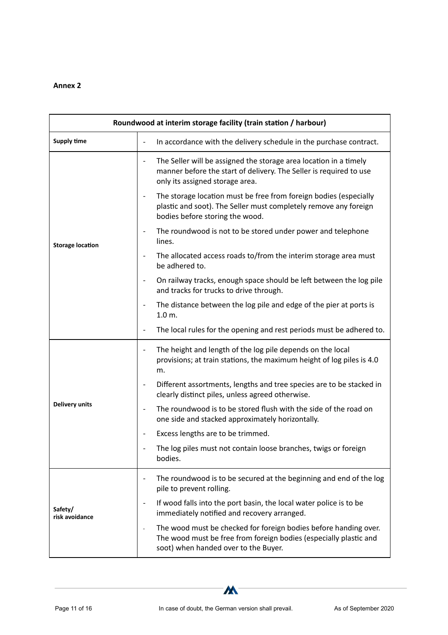| Roundwood at interim storage facility (train station / harbour) |                                                                                                                                                                               |  |  |  |  |
|-----------------------------------------------------------------|-------------------------------------------------------------------------------------------------------------------------------------------------------------------------------|--|--|--|--|
| <b>Supply time</b>                                              | In accordance with the delivery schedule in the purchase contract.<br>$\overline{\phantom{a}}$                                                                                |  |  |  |  |
|                                                                 | The Seller will be assigned the storage area location in a timely<br>manner before the start of delivery. The Seller is required to use<br>only its assigned storage area.    |  |  |  |  |
|                                                                 | The storage location must be free from foreign bodies (especially<br>plastic and soot). The Seller must completely remove any foreign<br>bodies before storing the wood.      |  |  |  |  |
| <b>Storage location</b>                                         | The roundwood is not to be stored under power and telephone<br>lines.                                                                                                         |  |  |  |  |
|                                                                 | The allocated access roads to/from the interim storage area must<br>be adhered to.                                                                                            |  |  |  |  |
|                                                                 | On railway tracks, enough space should be left between the log pile<br>and tracks for trucks to drive through.                                                                |  |  |  |  |
|                                                                 | The distance between the log pile and edge of the pier at ports is<br>$\overline{\phantom{a}}$<br>$1.0m$ .                                                                    |  |  |  |  |
|                                                                 | The local rules for the opening and rest periods must be adhered to.                                                                                                          |  |  |  |  |
|                                                                 | The height and length of the log pile depends on the local<br>$\overline{\phantom{a}}$<br>provisions; at train stations, the maximum height of log piles is 4.0<br>m.         |  |  |  |  |
|                                                                 | Different assortments, lengths and tree species are to be stacked in<br>clearly distinct piles, unless agreed otherwise.                                                      |  |  |  |  |
| <b>Delivery units</b>                                           | The roundwood is to be stored flush with the side of the road on<br>$\overline{\phantom{a}}$<br>one side and stacked approximately horizontally.                              |  |  |  |  |
|                                                                 | Excess lengths are to be trimmed.                                                                                                                                             |  |  |  |  |
|                                                                 | The log piles must not contain loose branches, twigs or foreign<br>bodies.                                                                                                    |  |  |  |  |
|                                                                 | The roundwood is to be secured at the beginning and end of the log<br>pile to prevent rolling.                                                                                |  |  |  |  |
| Safety/<br>risk avoidance                                       | If wood falls into the port basin, the local water police is to be<br>$\overline{\phantom{a}}$<br>immediately notified and recovery arranged.                                 |  |  |  |  |
|                                                                 | The wood must be checked for foreign bodies before handing over.<br>The wood must be free from foreign bodies (especially plastic and<br>soot) when handed over to the Buyer. |  |  |  |  |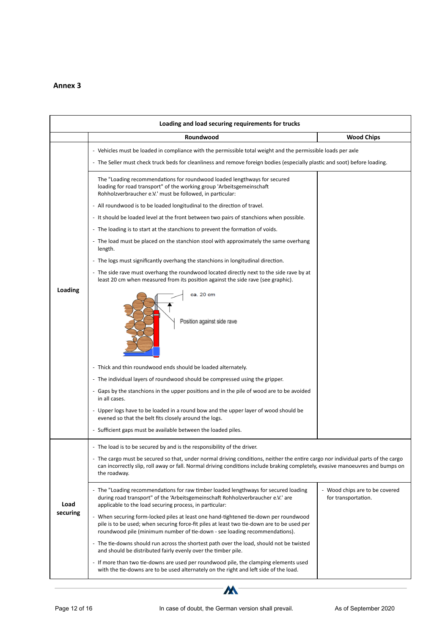| Loading and load securing requirements for trucks |                                                                                                                                                                                                                                                                                    |                                                       |  |  |
|---------------------------------------------------|------------------------------------------------------------------------------------------------------------------------------------------------------------------------------------------------------------------------------------------------------------------------------------|-------------------------------------------------------|--|--|
|                                                   | Roundwood                                                                                                                                                                                                                                                                          | <b>Wood Chips</b>                                     |  |  |
|                                                   | - Vehicles must be loaded in compliance with the permissible total weight and the permissible loads per axle                                                                                                                                                                       |                                                       |  |  |
|                                                   | - The Seller must check truck beds for cleanliness and remove foreign bodies (especially plastic and soot) before loading.                                                                                                                                                         |                                                       |  |  |
|                                                   | The "Loading recommendations for roundwood loaded lengthways for secured<br>loading for road transport" of the working group 'Arbeitsgemeinschaft<br>Rohholzverbraucher e.V.' must be followed, in particular:                                                                     |                                                       |  |  |
|                                                   | - All roundwood is to be loaded longitudinal to the direction of travel.                                                                                                                                                                                                           |                                                       |  |  |
|                                                   | - It should be loaded level at the front between two pairs of stanchions when possible.                                                                                                                                                                                            |                                                       |  |  |
|                                                   | - The loading is to start at the stanchions to prevent the formation of voids.                                                                                                                                                                                                     |                                                       |  |  |
|                                                   | - The load must be placed on the stanchion stool with approximately the same overhang<br>length.                                                                                                                                                                                   |                                                       |  |  |
|                                                   | - The logs must significantly overhang the stanchions in longitudinal direction.                                                                                                                                                                                                   |                                                       |  |  |
|                                                   | - The side rave must overhang the roundwood located directly next to the side rave by at<br>least 20 cm when measured from its position against the side rave (see graphic).                                                                                                       |                                                       |  |  |
| Loading                                           | ca. 20 cm<br>Position against side rave                                                                                                                                                                                                                                            |                                                       |  |  |
|                                                   | - Thick and thin roundwood ends should be loaded alternately.                                                                                                                                                                                                                      |                                                       |  |  |
|                                                   | - The individual layers of roundwood should be compressed using the gripper.                                                                                                                                                                                                       |                                                       |  |  |
|                                                   | - Gaps by the stanchions in the upper positions and in the pile of wood are to be avoided<br>in all cases.                                                                                                                                                                         |                                                       |  |  |
|                                                   | - Upper logs have to be loaded in a round bow and the upper layer of wood should be<br>evened so that the belt fits closely around the logs.                                                                                                                                       |                                                       |  |  |
|                                                   | - Sufficient gaps must be available between the loaded piles.                                                                                                                                                                                                                      |                                                       |  |  |
|                                                   | - The load is to be secured by and is the responsibility of the driver.                                                                                                                                                                                                            |                                                       |  |  |
|                                                   | - The cargo must be secured so that, under normal driving conditions, neither the entire cargo nor individual parts of the cargo<br>can incorrectly slip, roll away or fall. Normal driving conditions include braking completely, evasive manoeuvres and bumps on<br>the roadway. |                                                       |  |  |
| Load                                              | - The "Loading recommendations for raw timber loaded lengthways for secured loading<br>during road transport" of the 'Arbeitsgemeinschaft Rohholzverbraucher e.V.' are<br>applicable to the load securing process, in particular:                                                  | - Wood chips are to be covered<br>for transportation. |  |  |
| securing                                          | - When securing form-locked piles at least one hand-tightened tie-down per roundwood<br>pile is to be used; when securing force-fit piles at least two tie-down are to be used per<br>roundwood pile (minimum number of tie-down - see loading recommendations).                   |                                                       |  |  |
|                                                   | - The tie-downs should run across the shortest path over the load, should not be twisted<br>and should be distributed fairly evenly over the timber pile.                                                                                                                          |                                                       |  |  |
|                                                   | - If more than two tie-downs are used per roundwood pile, the clamping elements used<br>with the tie-downs are to be used alternately on the right and left side of the load.                                                                                                      |                                                       |  |  |

W-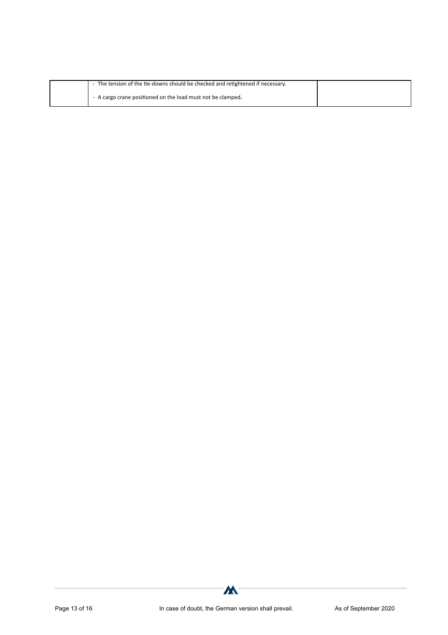| The tension of the tie-downs should be checked and retightened if necessary. |  |
|------------------------------------------------------------------------------|--|
| - A cargo crane positioned on the load must not be clamped.                  |  |

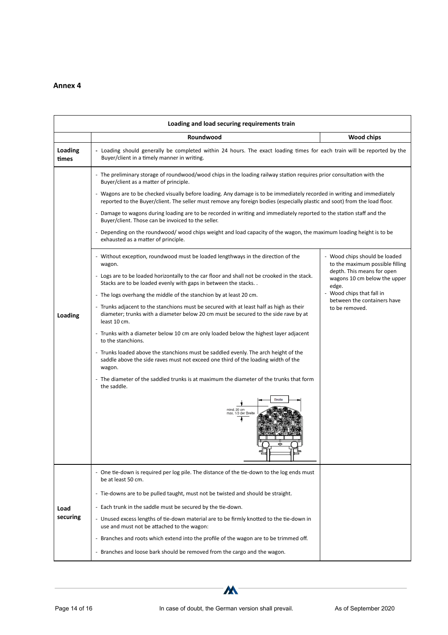|                  | Loading and load securing requirements train                                                                                                                                                                                                          |                                                                     |  |  |  |
|------------------|-------------------------------------------------------------------------------------------------------------------------------------------------------------------------------------------------------------------------------------------------------|---------------------------------------------------------------------|--|--|--|
|                  | Roundwood                                                                                                                                                                                                                                             | Wood chips                                                          |  |  |  |
| Loading<br>times | - Loading should generally be completed within 24 hours. The exact loading times for each train will be reported by the<br>Buyer/client in a timely manner in writing.                                                                                |                                                                     |  |  |  |
|                  | - The preliminary storage of roundwood/wood chips in the loading railway station requires prior consultation with the<br>Buyer/client as a matter of principle.                                                                                       |                                                                     |  |  |  |
|                  | - Wagons are to be checked visually before loading. Any damage is to be immediately recorded in writing and immediately<br>reported to the Buyer/client. The seller must remove any foreign bodies (especially plastic and soot) from the load floor. |                                                                     |  |  |  |
|                  | - Damage to wagons during loading are to be recorded in writing and immediately reported to the station staff and the<br>Buyer/client. Those can be invoiced to the seller.                                                                           |                                                                     |  |  |  |
|                  | - Depending on the roundwood/wood chips weight and load capacity of the wagon, the maximum loading height is to be<br>exhausted as a matter of principle.                                                                                             |                                                                     |  |  |  |
|                  | - Without exception, roundwood must be loaded lengthways in the direction of the<br>wagon.                                                                                                                                                            | - Wood chips should be loaded<br>to the maximum possible filling    |  |  |  |
|                  | - Logs are to be loaded horizontally to the car floor and shall not be crooked in the stack.<br>Stacks are to be loaded evenly with gaps in between the stacks. .                                                                                     | depth. This means for open<br>wagons 10 cm below the upper<br>edge. |  |  |  |
|                  | - The logs overhang the middle of the stanchion by at least 20 cm.                                                                                                                                                                                    | - Wood chips that fall in<br>between the containers have            |  |  |  |
| Loading          | - Trunks adjacent to the stanchions must be secured with at least half as high as their<br>diameter; trunks with a diameter below 20 cm must be secured to the side rave by at<br>least 10 cm.                                                        | to be removed.                                                      |  |  |  |
|                  | - Trunks with a diameter below 10 cm are only loaded below the highest layer adjacent<br>to the stanchions.                                                                                                                                           |                                                                     |  |  |  |
|                  | - Trunks loaded above the stanchions must be saddled evenly. The arch height of the<br>saddle above the side raves must not exceed one third of the loading width of the<br>wagon.                                                                    |                                                                     |  |  |  |
|                  | - The diameter of the saddled trunks is at maximum the diameter of the trunks that form<br>the saddle.                                                                                                                                                |                                                                     |  |  |  |
|                  | mind, 20 cm<br>max, 1/3 der Breite                                                                                                                                                                                                                    |                                                                     |  |  |  |
|                  | - One tie-down is required per log pile. The distance of the tie-down to the log ends must<br>be at least 50 cm.                                                                                                                                      |                                                                     |  |  |  |
|                  | - Tie-downs are to be pulled taught, must not be twisted and should be straight.                                                                                                                                                                      |                                                                     |  |  |  |
| Load             | - Each trunk in the saddle must be secured by the tie-down.                                                                                                                                                                                           |                                                                     |  |  |  |
| securing         | - Unused excess lengths of tie-down material are to be firmly knotted to the tie-down in<br>use and must not be attached to the wagon:                                                                                                                |                                                                     |  |  |  |
|                  | - Branches and roots which extend into the profile of the wagon are to be trimmed off.                                                                                                                                                                |                                                                     |  |  |  |
|                  | - Branches and loose bark should be removed from the cargo and the wagon.                                                                                                                                                                             |                                                                     |  |  |  |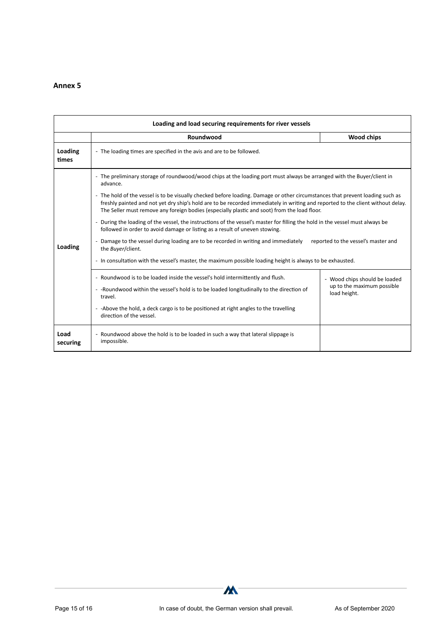| Loading and load securing requirements for river vessels |                                                                                                                                                                                                                                                                                                                                                                                                                                                                                                                                                                                                                                                                                                                                                                                                                                                                                                                                                                                                                                                                                                                                                                                                                                               |              |  |  |
|----------------------------------------------------------|-----------------------------------------------------------------------------------------------------------------------------------------------------------------------------------------------------------------------------------------------------------------------------------------------------------------------------------------------------------------------------------------------------------------------------------------------------------------------------------------------------------------------------------------------------------------------------------------------------------------------------------------------------------------------------------------------------------------------------------------------------------------------------------------------------------------------------------------------------------------------------------------------------------------------------------------------------------------------------------------------------------------------------------------------------------------------------------------------------------------------------------------------------------------------------------------------------------------------------------------------|--------------|--|--|
|                                                          | Roundwood                                                                                                                                                                                                                                                                                                                                                                                                                                                                                                                                                                                                                                                                                                                                                                                                                                                                                                                                                                                                                                                                                                                                                                                                                                     | Wood chips   |  |  |
| Loading<br>times                                         | - The loading times are specified in the avis and are to be followed.                                                                                                                                                                                                                                                                                                                                                                                                                                                                                                                                                                                                                                                                                                                                                                                                                                                                                                                                                                                                                                                                                                                                                                         |              |  |  |
| Loading                                                  | - The preliminary storage of roundwood/wood chips at the loading port must always be arranged with the Buyer/client in<br>advance.<br>- The hold of the vessel is to be visually checked before loading. Damage or other circumstances that prevent loading such as<br>freshly painted and not yet dry ship's hold are to be recorded immediately in writing and reported to the client without delay.<br>The Seller must remove any foreign bodies (especially plastic and soot) from the load floor.<br>- During the loading of the vessel, the instructions of the vessel's master for filling the hold in the vessel must always be<br>followed in order to avoid damage or listing as a result of uneven stowing.<br>- Damage to the vessel during loading are to be recorded in writing and immediately<br>reported to the vessel's master and<br>the <i>Buyer</i> /client.<br>- In consultation with the vessel's master, the maximum possible loading height is always to be exhausted.<br>- Roundwood is to be loaded inside the vessel's hold intermittently and flush.<br>- Wood chips should be loaded<br>up to the maximum possible<br>- - Roundwood within the vessel's hold is to be loaded longitudinally to the direction of |              |  |  |
|                                                          | travel.<br>- - Above the hold, a deck cargo is to be positioned at right angles to the travelling<br>direction of the vessel.                                                                                                                                                                                                                                                                                                                                                                                                                                                                                                                                                                                                                                                                                                                                                                                                                                                                                                                                                                                                                                                                                                                 | load height. |  |  |
| Load<br>securing                                         | - Roundwood above the hold is to be loaded in such a way that lateral slippage is<br>impossible.                                                                                                                                                                                                                                                                                                                                                                                                                                                                                                                                                                                                                                                                                                                                                                                                                                                                                                                                                                                                                                                                                                                                              |              |  |  |